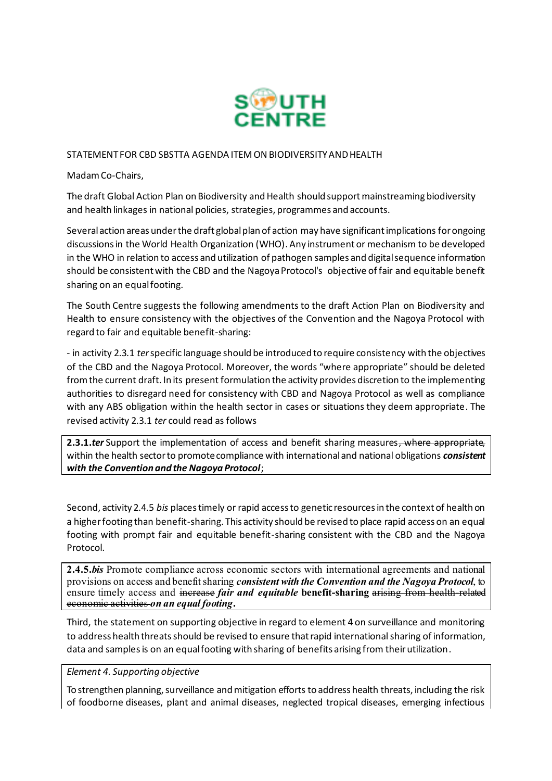

## STATEMENT FOR CBD SBSTTA AGENDA ITEM ON BIODIVERSITY AND HEALTH

Madam Co-Chairs,

The draft Global Action Plan on Biodiversity and Health should supportmainstreaming biodiversity and health linkages in national policies, strategies, programmes and accounts.

Several action areas under the draft global plan of action may have significant implications for ongoing discussions in the World Health Organization (WHO). Any instrument or mechanism to be developed in the WHO in relation to access and utilization of pathogen samples and digital sequence information should be consistent with the CBD and the Nagoya Protocol's objective of fair and equitable benefit sharing on an equal footing.

The South Centre suggests the following amendments to the draft Action Plan on Biodiversity and Health to ensure consistency with the objectives of the Convention and the Nagoya Protocol with regard to fair and equitable benefit-sharing:

- in activity 2.3.1 *ter* specific language should be introduced to require consistency with the objectives of the CBD and the Nagoya Protocol. Moreover, the words "where appropriate" should be deleted from the current draft. In its present formulation the activity provides discretion to the implementing authorities to disregard need for consistency with CBD and Nagoya Protocol as well as compliance with any ABS obligation within the health sector in cases or situations they deem appropriate. The revised activity 2.3.1 *ter* could read as follows

2.3.1.*ter* Support the implementation of access and benefit sharing measures, where appropriate, within the health sector to promote compliance with international and national obligations *consistent with the Convention and the Nagoya Protocol*;

Second, activity 2.4.5 *bis* places timely or rapid access to genetic resources in the context of health on a higher footing than benefit-sharing. This activity should be revised to place rapid access on an equal footing with prompt fair and equitable benefit-sharing consistent with the CBD and the Nagoya Protocol.

**2.4.5.***bis* Promote compliance across economic sectors with international agreements and national provisions on access and benefit sharing *consistent with the Convention and the Nagoya Protocol*, to ensure timely access and increase *fair and equitable* benefit-sharing arising from health-related economic activities *on an equal footing***.**

Third, the statement on supporting objective in regard to element 4 on surveillance and monitoring to address health threats should be revised to ensure thatrapid international sharing of information, data and samples is on an equal footing with sharing of benefits arising from their utilization.

## *Element 4. Supporting objective*

To strengthen planning, surveillance and mitigation efforts to address health threats, including the risk of foodborne diseases, plant and animal diseases, neglected tropical diseases, emerging infectious